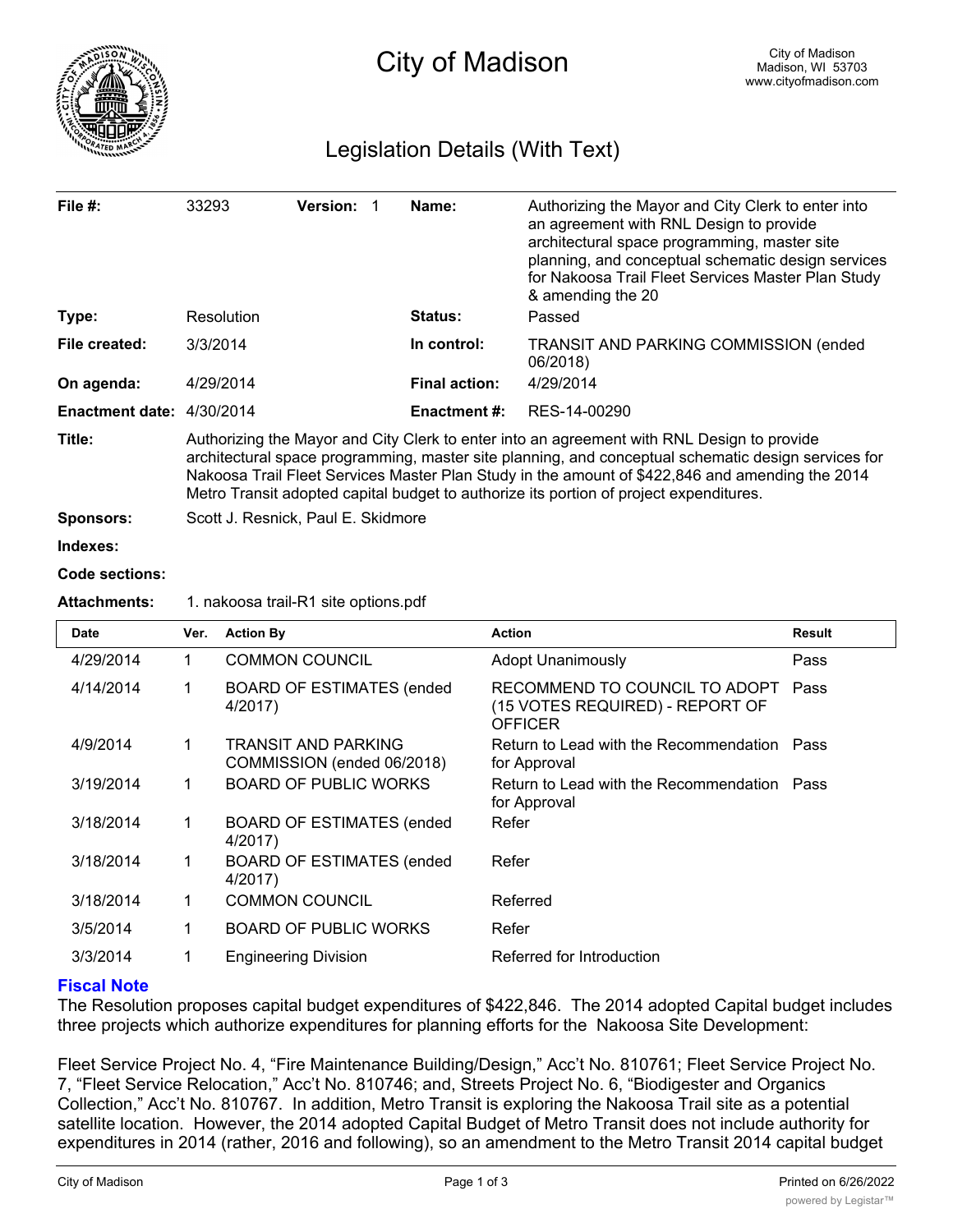

# Legislation Details (With Text)

| File $#$ :                | 33293                                                                                                                                                                                                                                                                                                                                                                                          | <b>Version: 1</b> |             | Name:                                                     | Authorizing the Mayor and City Clerk to enter into<br>an agreement with RNL Design to provide<br>architectural space programming, master site<br>planning, and conceptual schematic design services<br>for Nakoosa Trail Fleet Services Master Plan Study<br>& amending the 20 |  |  |
|---------------------------|------------------------------------------------------------------------------------------------------------------------------------------------------------------------------------------------------------------------------------------------------------------------------------------------------------------------------------------------------------------------------------------------|-------------------|-------------|-----------------------------------------------------------|--------------------------------------------------------------------------------------------------------------------------------------------------------------------------------------------------------------------------------------------------------------------------------|--|--|
| Type:                     | Resolution                                                                                                                                                                                                                                                                                                                                                                                     |                   |             | Status:                                                   | Passed                                                                                                                                                                                                                                                                         |  |  |
| File created:             | 3/3/2014                                                                                                                                                                                                                                                                                                                                                                                       |                   | In control: | <b>TRANSIT AND PARKING COMMISSION (ended)</b><br>06/2018) |                                                                                                                                                                                                                                                                                |  |  |
| On agenda:                | 4/29/2014                                                                                                                                                                                                                                                                                                                                                                                      |                   |             | <b>Final action:</b>                                      | 4/29/2014                                                                                                                                                                                                                                                                      |  |  |
| Enactment date: 4/30/2014 |                                                                                                                                                                                                                                                                                                                                                                                                |                   |             | Enactment #:                                              | RES-14-00290                                                                                                                                                                                                                                                                   |  |  |
| Title:                    | Authorizing the Mayor and City Clerk to enter into an agreement with RNL Design to provide<br>architectural space programming, master site planning, and conceptual schematic design services for<br>Nakoosa Trail Fleet Services Master Plan Study in the amount of \$422,846 and amending the 2014<br>Metro Transit adopted capital budget to authorize its portion of project expenditures. |                   |             |                                                           |                                                                                                                                                                                                                                                                                |  |  |
| <b>Sponsors:</b>          | Scott J. Resnick, Paul E. Skidmore                                                                                                                                                                                                                                                                                                                                                             |                   |             |                                                           |                                                                                                                                                                                                                                                                                |  |  |
| Indexes:                  |                                                                                                                                                                                                                                                                                                                                                                                                |                   |             |                                                           |                                                                                                                                                                                                                                                                                |  |  |
| Code sections:            |                                                                                                                                                                                                                                                                                                                                                                                                |                   |             |                                                           |                                                                                                                                                                                                                                                                                |  |  |
| <b>Attachments:</b>       | 1. nakoosa trail-R1 site options.pdf                                                                                                                                                                                                                                                                                                                                                           |                   |             |                                                           |                                                                                                                                                                                                                                                                                |  |  |

| <b>Date</b> | Ver. | <b>Action By</b>                                  | <b>Action</b>                                                               | <b>Result</b> |
|-------------|------|---------------------------------------------------|-----------------------------------------------------------------------------|---------------|
| 4/29/2014   | 1    | <b>COMMON COUNCIL</b>                             | <b>Adopt Unanimously</b>                                                    | Pass          |
| 4/14/2014   | 1    | <b>BOARD OF ESTIMATES (ended</b><br>4/2017)       | RECOMMEND TO COUNCIL TO ADOPT<br>(15 VOTES REQUIRED) - REPORT OF<br>OFFICER | Pass          |
| 4/9/2014    | 1    | TRANSIT AND PARKING<br>COMMISSION (ended 06/2018) | Return to Lead with the Recommendation<br>for Approval                      | Pass          |
| 3/19/2014   | 1    | <b>BOARD OF PUBLIC WORKS</b>                      | Return to Lead with the Recommendation Pass<br>for Approval                 |               |
| 3/18/2014   | 1    | <b>BOARD OF ESTIMATES (ended)</b><br>4/2017)      | Refer                                                                       |               |
| 3/18/2014   | 1    | <b>BOARD OF ESTIMATES (ended</b><br>4/2017)       | Refer                                                                       |               |
| 3/18/2014   | 1    | <b>COMMON COUNCIL</b>                             | Referred                                                                    |               |
| 3/5/2014    | 1    | <b>BOARD OF PUBLIC WORKS</b>                      | Refer                                                                       |               |
| 3/3/2014    | 1    | <b>Engineering Division</b>                       | Referred for Introduction                                                   |               |

# **Fiscal Note**

The Resolution proposes capital budget expenditures of \$422,846. The 2014 adopted Capital budget includes three projects which authorize expenditures for planning efforts for the Nakoosa Site Development:

Fleet Service Project No. 4, "Fire Maintenance Building/Design," Acc't No. 810761; Fleet Service Project No. 7, "Fleet Service Relocation," Acc't No. 810746; and, Streets Project No. 6, "Biodigester and Organics Collection," Acc't No. 810767. In addition, Metro Transit is exploring the Nakoosa Trail site as a potential satellite location. However, the 2014 adopted Capital Budget of Metro Transit does not include authority for expenditures in 2014 (rather, 2016 and following), so an amendment to the Metro Transit 2014 capital budget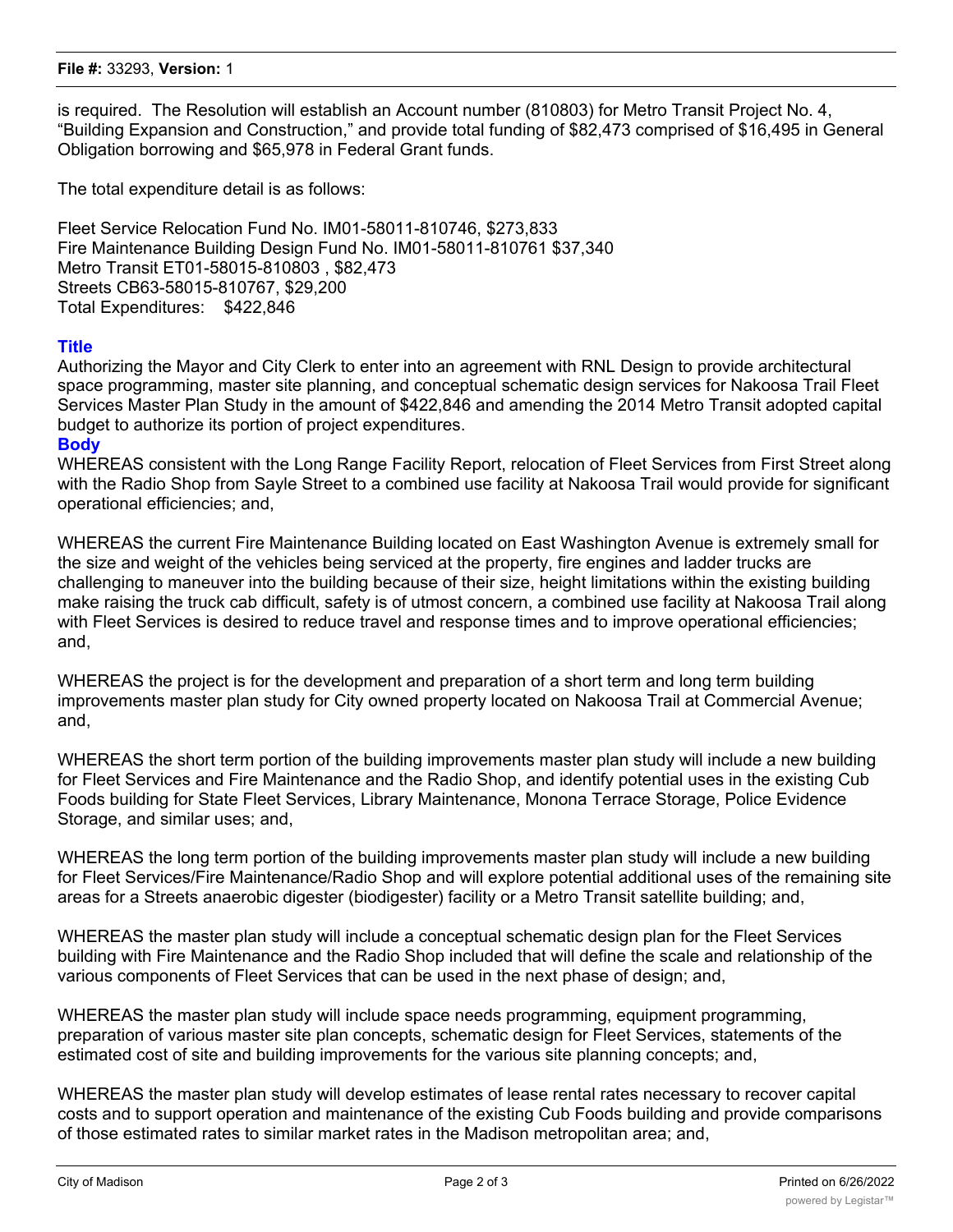#### **File #:** 33293, **Version:** 1

is required. The Resolution will establish an Account number (810803) for Metro Transit Project No. 4, "Building Expansion and Construction," and provide total funding of \$82,473 comprised of \$16,495 in General Obligation borrowing and \$65,978 in Federal Grant funds.

The total expenditure detail is as follows:

Fleet Service Relocation Fund No. IM01-58011-810746, \$273,833 Fire Maintenance Building Design Fund No. IM01-58011-810761 \$37,340 Metro Transit ET01-58015-810803 , \$82,473 Streets CB63-58015-810767, \$29,200 Total Expenditures: \$422,846

## **Title**

Authorizing the Mayor and City Clerk to enter into an agreement with RNL Design to provide architectural space programming, master site planning, and conceptual schematic design services for Nakoosa Trail Fleet Services Master Plan Study in the amount of \$422,846 and amending the 2014 Metro Transit adopted capital budget to authorize its portion of project expenditures.

## **Body**

WHEREAS consistent with the Long Range Facility Report, relocation of Fleet Services from First Street along with the Radio Shop from Sayle Street to a combined use facility at Nakoosa Trail would provide for significant operational efficiencies; and,

WHEREAS the current Fire Maintenance Building located on East Washington Avenue is extremely small for the size and weight of the vehicles being serviced at the property, fire engines and ladder trucks are challenging to maneuver into the building because of their size, height limitations within the existing building make raising the truck cab difficult, safety is of utmost concern, a combined use facility at Nakoosa Trail along with Fleet Services is desired to reduce travel and response times and to improve operational efficiencies; and,

WHEREAS the project is for the development and preparation of a short term and long term building improvements master plan study for City owned property located on Nakoosa Trail at Commercial Avenue; and,

WHEREAS the short term portion of the building improvements master plan study will include a new building for Fleet Services and Fire Maintenance and the Radio Shop, and identify potential uses in the existing Cub Foods building for State Fleet Services, Library Maintenance, Monona Terrace Storage, Police Evidence Storage, and similar uses; and,

WHEREAS the long term portion of the building improvements master plan study will include a new building for Fleet Services/Fire Maintenance/Radio Shop and will explore potential additional uses of the remaining site areas for a Streets anaerobic digester (biodigester) facility or a Metro Transit satellite building; and,

WHEREAS the master plan study will include a conceptual schematic design plan for the Fleet Services building with Fire Maintenance and the Radio Shop included that will define the scale and relationship of the various components of Fleet Services that can be used in the next phase of design; and,

WHEREAS the master plan study will include space needs programming, equipment programming, preparation of various master site plan concepts, schematic design for Fleet Services, statements of the estimated cost of site and building improvements for the various site planning concepts; and,

WHEREAS the master plan study will develop estimates of lease rental rates necessary to recover capital costs and to support operation and maintenance of the existing Cub Foods building and provide comparisons of those estimated rates to similar market rates in the Madison metropolitan area; and,